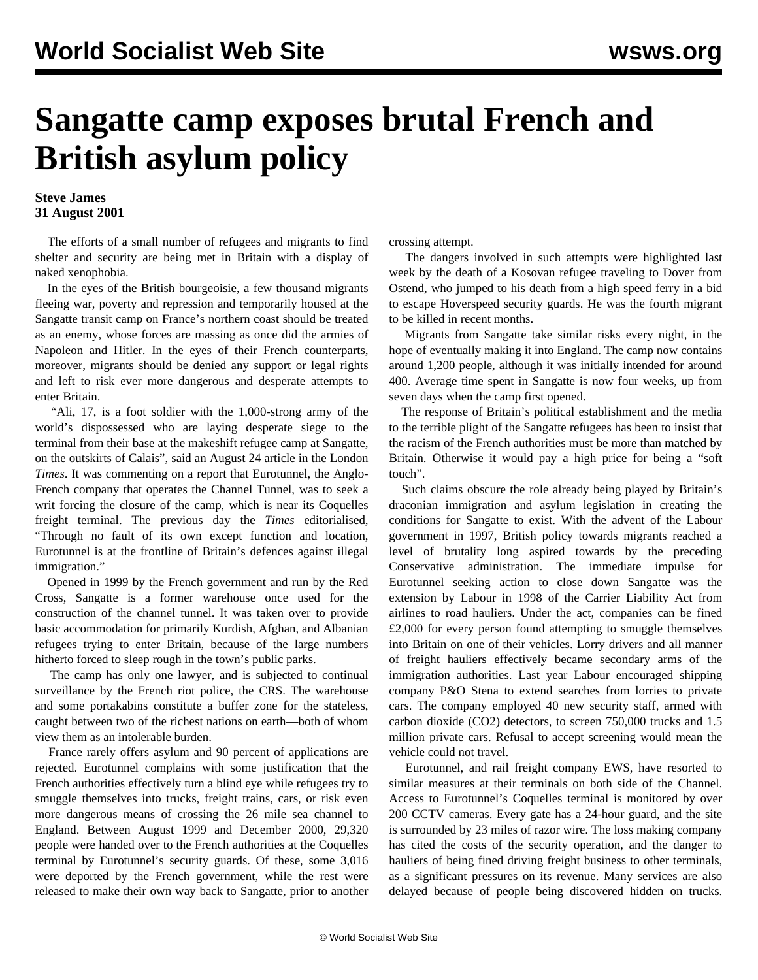## **Sangatte camp exposes brutal French and British asylum policy**

## **Steve James 31 August 2001**

 The efforts of a small number of refugees and migrants to find shelter and security are being met in Britain with a display of naked xenophobia.

 In the eyes of the British bourgeoisie, a few thousand migrants fleeing war, poverty and repression and temporarily housed at the Sangatte transit camp on France's northern coast should be treated as an enemy, whose forces are massing as once did the armies of Napoleon and Hitler. In the eyes of their French counterparts, moreover, migrants should be denied any support or legal rights and left to risk ever more dangerous and desperate attempts to enter Britain.

 "Ali, 17, is a foot soldier with the 1,000-strong army of the world's dispossessed who are laying desperate siege to the terminal from their base at the makeshift refugee camp at Sangatte, on the outskirts of Calais", said an August 24 article in the London *Times*. It was commenting on a report that Eurotunnel, the Anglo-French company that operates the Channel Tunnel, was to seek a writ forcing the closure of the camp, which is near its Coquelles freight terminal. The previous day the *Times* editorialised, "Through no fault of its own except function and location, Eurotunnel is at the frontline of Britain's defences against illegal immigration."

 Opened in 1999 by the French government and run by the Red Cross, Sangatte is a former warehouse once used for the construction of the channel tunnel. It was taken over to provide basic accommodation for primarily Kurdish, Afghan, and Albanian refugees trying to enter Britain, because of the large numbers hitherto forced to sleep rough in the town's public parks.

 The camp has only one lawyer, and is subjected to continual surveillance by the French riot police, the CRS. The warehouse and some portakabins constitute a buffer zone for the stateless, caught between two of the richest nations on earth—both of whom view them as an intolerable burden.

 France rarely offers asylum and 90 percent of applications are rejected. Eurotunnel complains with some justification that the French authorities effectively turn a blind eye while refugees try to smuggle themselves into trucks, freight trains, cars, or risk even more dangerous means of crossing the 26 mile sea channel to England. Between August 1999 and December 2000, 29,320 people were handed over to the French authorities at the Coquelles terminal by Eurotunnel's security guards. Of these, some 3,016 were deported by the French government, while the rest were released to make their own way back to Sangatte, prior to another crossing attempt.

 The dangers involved in such attempts were highlighted last week by the death of a Kosovan refugee traveling to Dover from Ostend, who jumped to his death from a high speed ferry in a bid to escape Hoverspeed security guards. He was the fourth migrant to be killed in recent months.

 Migrants from Sangatte take similar risks every night, in the hope of eventually making it into England. The camp now contains around 1,200 people, although it was initially intended for around 400. Average time spent in Sangatte is now four weeks, up from seven days when the camp first opened.

 The response of Britain's political establishment and the media to the terrible plight of the Sangatte refugees has been to insist that the racism of the French authorities must be more than matched by Britain. Otherwise it would pay a high price for being a "soft touch".

 Such claims obscure the role already being played by Britain's draconian immigration and asylum legislation in creating the conditions for Sangatte to exist. With the advent of the Labour government in 1997, British policy towards migrants reached a level of brutality long aspired towards by the preceding Conservative administration. The immediate impulse for Eurotunnel seeking action to close down Sangatte was the extension by Labour in 1998 of the Carrier Liability Act from airlines to road hauliers. Under the act, companies can be fined £2,000 for every person found attempting to smuggle themselves into Britain on one of their vehicles. Lorry drivers and all manner of freight hauliers effectively became secondary arms of the immigration authorities. Last year Labour encouraged shipping company P&O Stena to extend searches from lorries to private cars. The company employed 40 new security staff, armed with carbon dioxide (CO2) detectors, to screen 750,000 trucks and 1.5 million private cars. Refusal to accept screening would mean the vehicle could not travel.

 Eurotunnel, and rail freight company EWS, have resorted to similar measures at their terminals on both side of the Channel. Access to Eurotunnel's Coquelles terminal is monitored by over 200 CCTV cameras. Every gate has a 24-hour guard, and the site is surrounded by 23 miles of razor wire. The loss making company has cited the costs of the security operation, and the danger to hauliers of being fined driving freight business to other terminals, as a significant pressures on its revenue. Many services are also delayed because of people being discovered hidden on trucks.